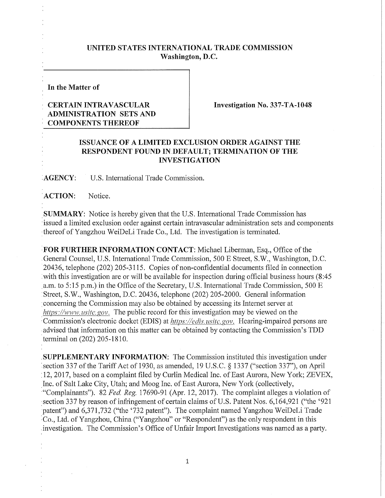## **UNITED STATES INTERNATIONAL TRADE COMMISSION Washington, D.C.**

**In the Matter of** 

## **CERTAIN INTRAVASCULAR ADMINISTRATION SETS AND COMPONENTS THEREOF**

**Investigation No.** 337**-TA-1048** 

## **ISSUANCE OF A LIMITED EXCLUSION ORDER AGAINST THE RESPONDENT FOUND IN DEFAULT; TERMINATION OF THE INVESTIGATION**

**AGENCY: U.S.** International Trade Commission.

ACTION: Notice.

**SUMMARY:** Notice is hereby given that the U.S. International Trade Commission has issued a limited exclusion order against certain intravascular administration sets and components thereof of Yangzhou WeiDeLi Trade Co., Ltd. The investigation is terminated.

**FOR FURTHER INFORMATION CONTACT:** Michael Liberman, Esq., Office of the General Counsel, U.S. International Trade Commission, 500 E Street, S.W., Washington, D.C. 20436, telephone (202) 205-3115. Copies of non-confidential documents filed in connection with this investigation are or will be available for inspection during official business hours (8:45 a.m. to 5:15 p.m.) in the Office of the Secretary, U.S. International Trade Commission, 500 E Street, S.W., Washington, D.C. 20436, telephone (202) 205-2000. General information concerning the Commission may also be obtained by accessing its Internet server at *https:YAvww. usitc.gov.* The public record for this investigation may be viewed on the Commission's electronic docket (EDIS) at *https://edis. usitc. gov.* Hearing-impaired persons are advised that information on this matter can be obtained by contacting the Commission's TDD terminal on (202) 205-1810.

**SUPPLEMENTARY INFORMATION:** The Commission instituted this investigation under section 337 of the Tariff Act of 1930, as amended, 19 U.S.C. § 1337 ("section 337"), on April 12, 2017, based on a complaint filed by Curlin Medical Inc. of East Aurora, New York; ZEVEX, Inc. of Salt Lake City, Utah; and Moog Inc. of East Aurora, New York (collectively, "Complainants"). 82 *Fed, Reg.* 17690-91 (Apr. 12, 2017). The complaint alleges a violation of section 337 by reason of infringement of certain claims of U.S. Patent Nos. 6,164,921 ("the '921 patent") and 6,371,732 ("the '732 patent"). The complaint named Yangzhou WeiDeLi Trade Co., Ltd. of Yangzhou, China ("Yangzhou" or "Respondent") as the only respondent in this investigation. The Commission's Office of Unfair Import Investigations was named as a party.